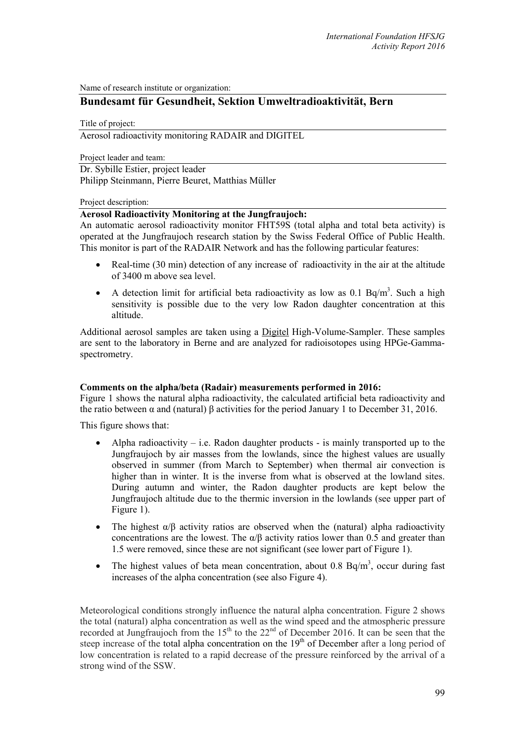Name of research institute or organization:

# **Bundesamt für Gesundheit, Sektion Umweltradioaktivität, Bern**

Title of project:

Aerosol radioactivity monitoring RADAIR and DIGITEL

Project leader and team:

Dr. Sybille Estier, project leader Philipp Steinmann, Pierre Beuret, Matthias Müller

Project description:

#### **Aerosol Radioactivity Monitoring at the Jungfraujoch:**

An automatic aerosol radioactivity monitor FHT59S (total alpha and total beta activity) is operated at the Jungfraujoch research station by the Swiss Federal Office of Public Health. This monitor is part of the RADAIR Network and has the following particular features:

- Real-time (30 min) detection of any increase of radioactivity in the air at the altitude of 3400 m above sea level.
- A detection limit for artificial beta radioactivity as low as  $0.1$  Bq/m<sup>3</sup>. Such a high sensitivity is possible due to the very low Radon daughter concentration at this altitude.

Additional aerosol samples are taken using a Digitel High-Volume-Sampler. These samples are sent to the laboratory in Berne and are analyzed for radioisotopes using HPGe-Gammaspectrometry.

### **Comments on the alpha/beta (Radair) measurements performed in 2016:**

Figure 1 shows the natural alpha radioactivity, the calculated artificial beta radioactivity and the ratio between α and (natural) β activities for the period January 1 to December 31, 2016.

This figure shows that:

- Alpha radioactivity i.e. Radon daughter products is mainly transported up to the Jungfraujoch by air masses from the lowlands, since the highest values are usually observed in summer (from March to September) when thermal air convection is higher than in winter. It is the inverse from what is observed at the lowland sites. During autumn and winter, the Radon daughter products are kept below the Jungfraujoch altitude due to the thermic inversion in the lowlands (see upper part of Figure 1).
- The highest  $\alpha/\beta$  activity ratios are observed when the (natural) alpha radioactivity concentrations are the lowest. The  $\alpha/\beta$  activity ratios lower than 0.5 and greater than 1.5 were removed, since these are not significant (see lower part of Figure 1).
- The highest values of beta mean concentration, about 0.8 Bq/m<sup>3</sup>, occur during fast increases of the alpha concentration (see also Figure 4).

Meteorological conditions strongly influence the natural alpha concentration. Figure 2 shows the total (natural) alpha concentration as well as the wind speed and the atmospheric pressure recorded at Jungfraujoch from the  $15<sup>th</sup>$  to the  $22<sup>nd</sup>$  of December 2016. It can be seen that the steep increase of the total alpha concentration on the 19<sup>th</sup> of December after a long period of low concentration is related to a rapid decrease of the pressure reinforced by the arrival of a strong wind of the SSW.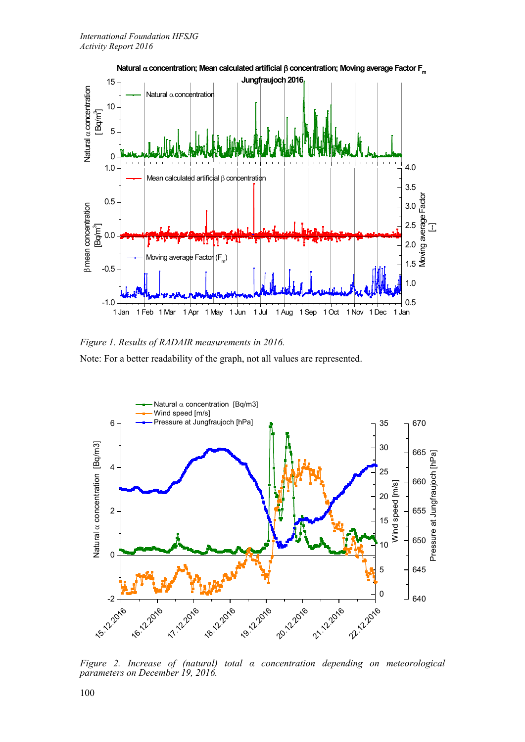

*Figure 1. Results of RADAIR measurements in 2016.* Note: For a better readability of the graph, not all values are represented.



*Figure 2. Increase of (natural) total α concentration depending on meteorological parameters on December 19, 2016.*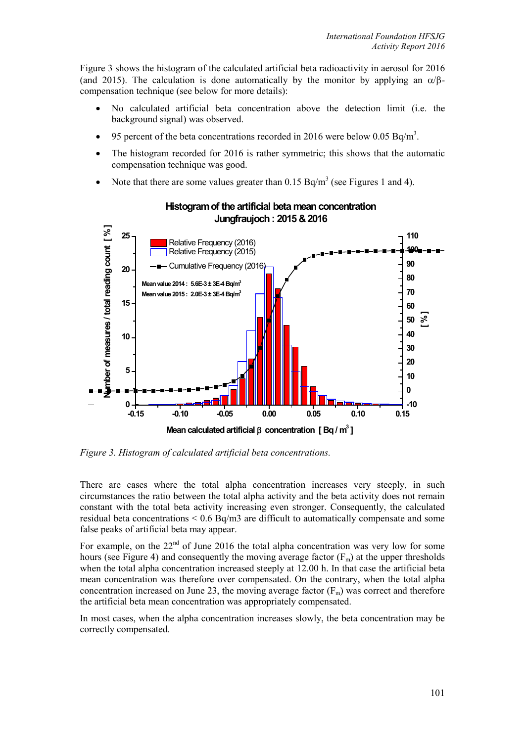Figure 3 shows the histogram of the calculated artificial beta radioactivity in aerosol for 2016 (and 2015). The calculation is done automatically by the monitor by applying an  $\alpha/\beta$ compensation technique (see below for more details):

- No calculated artificial beta concentration above the detection limit (i.e. the background signal) was observed.
- 95 percent of the beta concentrations recorded in 2016 were below 0.05 Bq/m<sup>3</sup>.
- The histogram recorded for 2016 is rather symmetric; this shows that the automatic compensation technique was good.
- Note that there are some values greater than  $0.15$  Bq/m<sup>3</sup> (see Figures 1 and 4).



## **Histogram of the artificial beta mean concentration Jungfraujoch : 2015 & 2016**

*Figure 3. Histogram of calculated artificial beta concentrations.*

There are cases where the total alpha concentration increases very steeply, in such circumstances the ratio between the total alpha activity and the beta activity does not remain constant with the total beta activity increasing even stronger. Consequently, the calculated residual beta concentrations < 0.6 Bq/m3 are difficult to automatically compensate and some false peaks of artificial beta may appear.

For example, on the  $22<sup>nd</sup>$  of June 2016 the total alpha concentration was very low for some hours (see Figure 4) and consequently the moving average factor  $(F_m)$  at the upper thresholds when the total alpha concentration increased steeply at 12.00 h. In that case the artificial beta mean concentration was therefore over compensated. On the contrary, when the total alpha concentration increased on June 23, the moving average factor  $(F_m)$  was correct and therefore the artificial beta mean concentration was appropriately compensated.

In most cases, when the alpha concentration increases slowly, the beta concentration may be correctly compensated.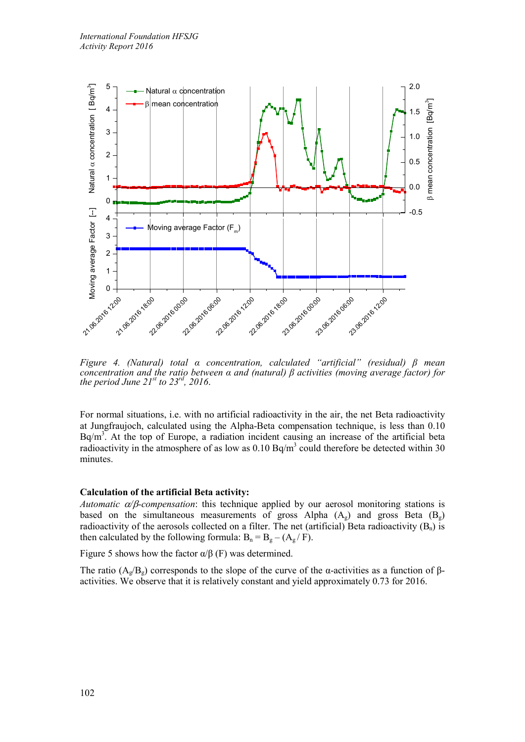

*Figure 4. (Natural) total α concentration, calculated "artificial" (residual) β mean concentration and the ratio between α and (natural) β activities (moving average factor) for the period June 21st to 23rd, 2016*.

For normal situations, i.e. with no artificial radioactivity in the air, the net Beta radioactivity at Jungfraujoch, calculated using the Alpha-Beta compensation technique, is less than 0.10  $Bq/m<sup>3</sup>$ . At the top of Europe, a radiation incident causing an increase of the artificial beta radioactivity in the atmosphere of as low as  $0.10$  Bq/m<sup>3</sup> could therefore be detected within 30 minutes.

### **Calculation of the artificial Beta activity:**

*Automatic* α*/*β*-compensation*: this technique applied by our aerosol monitoring stations is based on the simultaneous measurements of gross Alpha  $(A_g)$  and gross Beta  $(B_g)$ radioactivity of the aerosols collected on a filter. The net (artificial) Beta radioactivity  $(B_n)$  is then calculated by the following formula:  $B_n = B_g - (A_g / F)$ .

Figure 5 shows how the factor  $\alpha/\beta$  (F) was determined.

The ratio ( $A_g/B_g$ ) corresponds to the slope of the curve of the α-activities as a function of  $\beta$ activities. We observe that it is relatively constant and yield approximately 0.73 for 2016.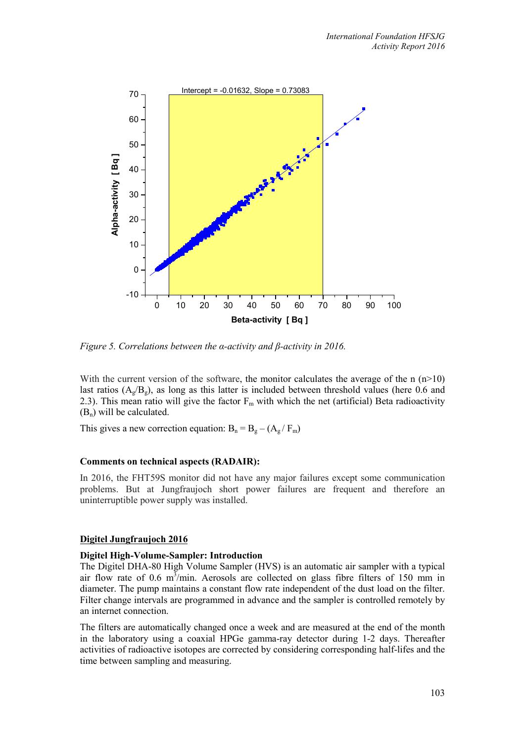

*Figure 5. Correlations between the α-activity and β-activity in 2016.*

With the current version of the software, the monitor calculates the average of the n  $(n>10)$ last ratios  $(A_e/B_e)$ , as long as this latter is included between threshold values (here 0.6 and 2.3). This mean ratio will give the factor  $F_m$  with which the net (artificial) Beta radioactivity  $(B_n)$  will be calculated.

This gives a new correction equation:  $B_n = B_g - (A_g / F_m)$ 

### **Comments on technical aspects (RADAIR):**

In 2016, the FHT59S monitor did not have any major failures except some communication problems. But at Jungfraujoch short power failures are frequent and therefore an uninterruptible power supply was installed.

### **Digitel Jungfraujoch 2016**

## **Digitel High-Volume-Sampler: Introduction**

The Digitel DHA-80 High Volume Sampler (HVS) is an automatic air sampler with a typical air flow rate of 0.6  $m<sup>3</sup>/min$ . Aerosols are collected on glass fibre filters of 150 mm in diameter. The pump maintains a constant flow rate independent of the dust load on the filter. Filter change intervals are programmed in advance and the sampler is controlled remotely by an internet connection.

The filters are automatically changed once a week and are measured at the end of the month in the laboratory using a coaxial HPGe gamma-ray detector during 1-2 days. Thereafter activities of radioactive isotopes are corrected by considering corresponding half-lifes and the time between sampling and measuring.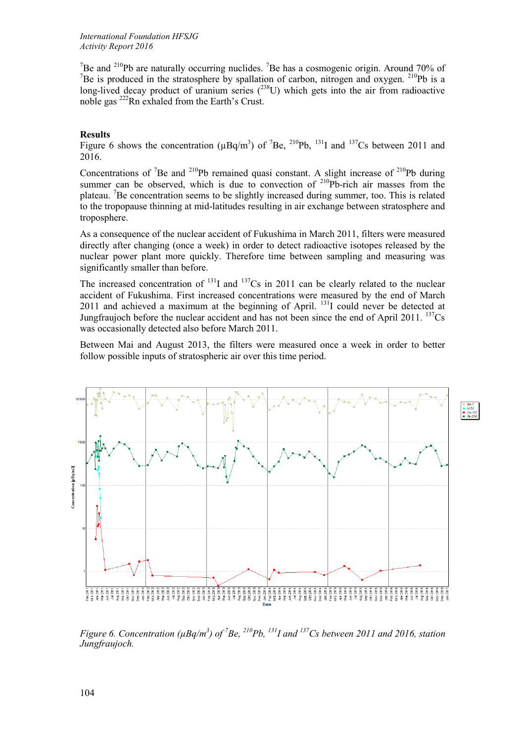<sup>7</sup>Be and <sup>210</sup>Pb are naturally occurring nuclides. <sup>7</sup>Be has a cosmogenic origin. Around 70% of <sup>7</sup>Be is produced in the stratosphere by spallation of carbon, nitrogen and oxygen. <sup>210</sup>Pb is a long-lived decay product of uranium series  $(^{238}U)$  which gets into the air from radioactive noble gas 222Rn exhaled from the Earth's Crust.

## **Results**

Figure 6 shows the concentration ( $\mu$ Bq/m<sup>3</sup>) of <sup>7</sup>Be, <sup>210</sup>Pb, <sup>131</sup>I and <sup>137</sup>Cs between 2011 and 2016.

Concentrations of <sup>7</sup>Be and <sup>210</sup>Pb remained quasi constant. A slight increase of <sup>210</sup>Pb during summer can be observed, which is due to convection of  $2^{10}Pb$ -rich air masses from the plateau. <sup>7</sup>Be concentration seems to be slightly increased during summer, too. This is related to the tropopause thinning at mid-latitudes resulting in air exchange between stratosphere and troposphere.

As a consequence of the nuclear accident of Fukushima in March 2011, filters were measured directly after changing (once a week) in order to detect radioactive isotopes released by the nuclear power plant more quickly. Therefore time between sampling and measuring was significantly smaller than before.

The increased concentration of  $^{131}$ I and  $^{137}$ Cs in 2011 can be clearly related to the nuclear accident of Fukushima. First increased concentrations were measured by the end of March 2011 and achieved a maximum at the beginning of April.  $131$  could never be detected at Jungfraujoch before the nuclear accident and has not been since the end of April 2011. <sup>137</sup>Cs was occasionally detected also before March 2011.

Between Mai and August 2013, the filters were measured once a week in order to better follow possible inputs of stratospheric air over this time period.



*Figure 6. Concentration (* $\mu$ *Bq/m<sup>3</sup>) of <sup>7</sup>Be, <sup>210</sup>Pb, <sup>131</sup>I and <sup>137</sup>Cs between 2011 and 2016, station Jungfraujoch.*